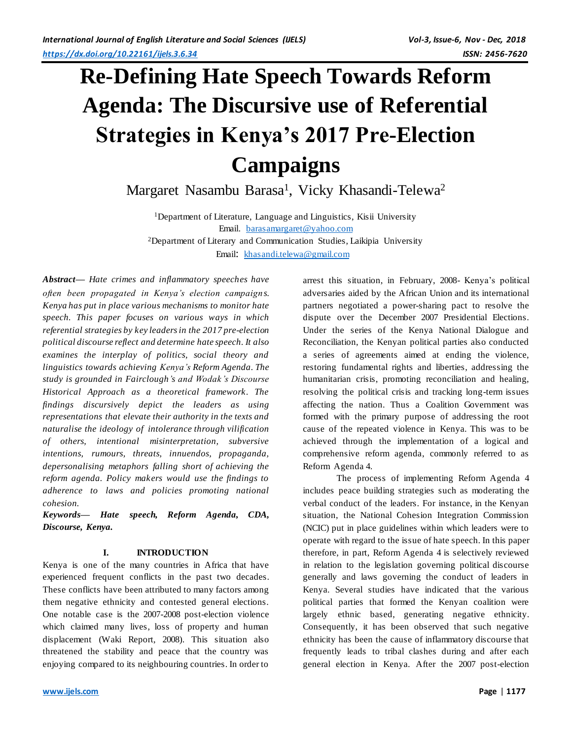# **Re-Defining Hate Speech Towards Reform Agenda: The Discursive use of Referential Strategies in Kenya's 2017 Pre-Election Campaigns**

Margaret Nasambu Barasa<sup>1</sup>, Vicky Khasandi-Telewa<sup>2</sup>

<sup>1</sup>Department of Literature, Language and Linguistics, Kisii University Email. [barasamargaret@yahoo.com](mailto:barasamargaret@yahoo.com) <sup>2</sup>Department of Literary and Communication Studies, Laikipia University Email: [khasandi.telewa@gmail.com](mailto:khasandi.telewa@gmail.com)

*Abstract— Hate crimes and inflammatory speeches have often been propagated in Kenya's election campaigns. Kenya has put in place various mechanisms to monitor hate speech. This paper focuses on various ways in which referential strategies by key leadersin the 2017 pre-election political discourse reflect and determine hate speech. It also examines the interplay of politics, social theory and linguistics towards achieving Kenya's Reform Agenda. The study is grounded in Fairclough's and Wodak's Discourse Historical Approach as a theoretical framework. The findings discursively depict the leaders as using representations that elevate their authority in the texts and naturalise the ideology of intolerance through vilification of others, intentional misinterpretation, subversive intentions, rumours, threats, innuendos, propaganda, depersonalising metaphors falling short of achieving the reform agenda. Policy makers would use the findings to adherence to laws and policies promoting national cohesion.*

*Keywords— Hate speech, Reform Agenda, CDA, Discourse, Kenya.*

# **I. INTRODUCTION**

Kenya is one of the many countries in Africa that have experienced frequent conflicts in the past two decades. These conflicts have been attributed to many factors among them negative ethnicity and contested general elections. One notable case is the 2007-2008 post-election violence which claimed many lives, loss of property and human displacement (Waki Report, 2008). This situation also threatened the stability and peace that the country was enjoying compared to its neighbouring countries. In order to

arrest this situation, in February, 2008- Kenya's political adversaries aided by the African Union and its international partners negotiated a power-sharing pact to resolve the dispute over the December 2007 Presidential Elections. Under the series of the Kenya National Dialogue and Reconciliation, the Kenyan political parties also conducted a series of agreements aimed at ending the violence, restoring fundamental rights and liberties, addressing the humanitarian crisis, promoting reconciliation and healing, resolving the political crisis and tracking long-term issues affecting the nation. Thus a Coalition Government was formed with the primary purpose of addressing the root cause of the repeated violence in Kenya. This was to be achieved through the implementation of a logical and comprehensive reform agenda, commonly referred to as Reform Agenda 4.

The process of implementing Reform Agenda 4 includes peace building strategies such as moderating the verbal conduct of the leaders. For instance, in the Kenyan situation, the National Cohesion Integration Commission (NCIC) put in place guidelines within which leaders were to operate with regard to the issue of hate speech. In this paper therefore, in part, Reform Agenda 4 is selectively reviewed in relation to the legislation governing political discourse generally and laws governing the conduct of leaders in Kenya. Several studies have indicated that the various political parties that formed the Kenyan coalition were largely ethnic based, generating negative ethnicity. Consequently, it has been observed that such negative ethnicity has been the cause of inflammatory discourse that frequently leads to tribal clashes during and after each general election in Kenya. After the 2007 post-election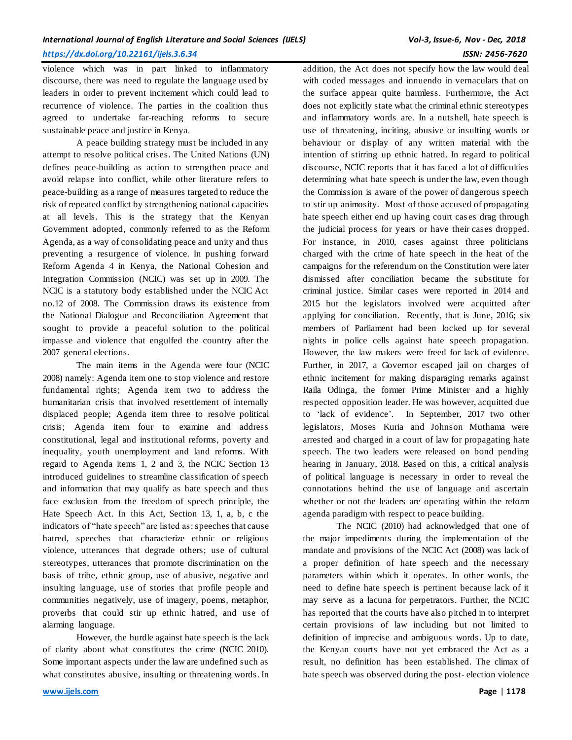violence which was in part linked to inflammatory discourse, there was need to regulate the language used by leaders in order to prevent incitement which could lead to recurrence of violence. The parties in the coalition thus agreed to undertake far-reaching reforms to secure sustainable peace and justice in Kenya.

A peace building strategy must be included in any attempt to resolve political crises. The United Nations (UN) defines peace-building as action to strengthen peace and avoid relapse into conflict, while other literature refers to peace-building as a range of measures targeted to reduce the risk of repeated conflict by strengthening national capacities at all levels. This is the strategy that the Kenyan Government adopted, commonly referred to as the Reform Agenda, as a way of consolidating peace and unity and thus preventing a resurgence of violence. In pushing forward Reform Agenda 4 in Kenya, the National Cohesion and Integration Commission (NCIC) was set up in 2009. The NCIC is a statutory body established under the NCIC Act no.12 of 2008. The Commission draws its existence from the National Dialogue and Reconciliation Agreement that sought to provide a peaceful solution to the political impasse and violence that engulfed the country after the 2007 general elections.

The main items in the Agenda were four (NCIC 2008) namely: Agenda item one to stop violence and restore fundamental rights; Agenda item two to address the humanitarian crisis that involved resettlement of internally displaced people; Agenda item three to resolve political crisis; Agenda item four to examine and address constitutional, legal and institutional reforms, poverty and inequality, youth unemployment and land reforms. With regard to Agenda items 1, 2 and 3, the NCIC Section 13 introduced guidelines to streamline classification of speech and information that may qualify as hate speech and thus face exclusion from the freedom of speech principle, the Hate Speech Act. In this Act, Section 13, 1, a, b, c the indicators of "hate speech" are listed as: speeches that cause hatred, speeches that characterize ethnic or religious violence, utterances that degrade others; use of cultural stereotypes, utterances that promote discrimination on the basis of tribe, ethnic group, use of abusive, negative and insulting language, use of stories that profile people and communities negatively, use of imagery, poems, metaphor, proverbs that could stir up ethnic hatred, and use of alarming language.

However, the hurdle against hate speech is the lack of clarity about what constitutes the crime (NCIC 2010). Some important aspects under the law are undefined such as what constitutes abusive, insulting or threatening words. In

addition, the Act does not specify how the law would deal with coded messages and innuendo in vernaculars that on the surface appear quite harmless. Furthermore, the Act does not explicitly state what the criminal ethnic stereotypes and inflammatory words are. In a nutshell, hate speech is use of threatening, inciting, abusive or insulting words or behaviour or display of any written material with the intention of stirring up ethnic hatred. In regard to political discourse, NCIC reports that it has faced a lot of difficulties determining what hate speech is under the law, even though the Commission is aware of the power of dangerous speech to stir up animosity. Most of those accused of propagating hate speech either end up having court cases drag through the judicial process for years or have their cases dropped. For instance, in 2010, cases against three politicians charged with the crime of hate speech in the heat of the campaigns for the referendum on the Constitution were later dismissed after conciliation became the substitute for criminal justice. Similar cases were reported in 2014 and 2015 but the legislators involved were acquitted after applying for conciliation. Recently, that is June, 2016; six members of Parliament had been locked up for several nights in police cells against hate speech propagation. However, the law makers were freed for lack of evidence. Further, in 2017, a Governor escaped jail on charges of ethnic incitement for making disparaging remarks against Raila Odinga, the former Prime Minister and a highly respected opposition leader. He was however, acquitted due to 'lack of evidence'. In September, 2017 two other legislators, Moses Kuria and Johnson Muthama were arrested and charged in a court of law for propagating hate speech. The two leaders were released on bond pending hearing in January, 2018. Based on this, a critical analysis of political language is necessary in order to reveal the connotations behind the use of language and ascertain whether or not the leaders are operating within the reform agenda paradigm with respect to peace building.

The NCIC (2010) had acknowledged that one of the major impediments during the implementation of the mandate and provisions of the NCIC Act (2008) was lack of a proper definition of hate speech and the necessary parameters within which it operates. In other words, the need to define hate speech is pertinent because lack of it may serve as a lacuna for perpetrators. Further, the NCIC has reported that the courts have also pitched in to interpret certain provisions of law including but not limited to definition of imprecise and ambiguous words. Up to date, the Kenyan courts have not yet embraced the Act as a result, no definition has been established. The climax of hate speech was observed during the post- election violence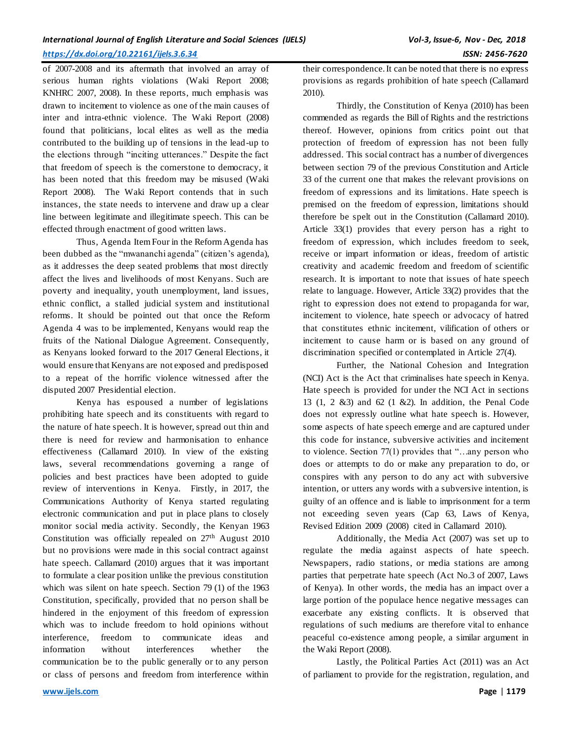of 2007-2008 and its aftermath that involved an array of serious human rights violations (Waki Report 2008; KNHRC 2007, 2008). In these reports, much emphasis was drawn to incitement to violence as one of the main causes of inter and intra-ethnic violence. The Waki Report (2008) found that politicians, local elites as well as the media contributed to the building up of tensions in the lead-up to the elections through "inciting utterances." Despite the fact that freedom of speech is the cornerstone to democracy, it has been noted that this freedom may be misused (Waki Report 2008). The Waki Report contends that in such instances, the state needs to intervene and draw up a clear line between legitimate and illegitimate speech. This can be effected through enactment of good written laws.

Thus, Agenda Item Four in the Reform Agenda has been dubbed as the "mwananchi agenda" (citizen's agenda), as it addresses the deep seated problems that most directly affect the lives and livelihoods of most Kenyans. Such are poverty and inequality, youth unemployment, land issues, ethnic conflict, a stalled judicial system and institutional reforms. It should be pointed out that once the Reform Agenda 4 was to be implemented, Kenyans would reap the fruits of the National Dialogue Agreement. Consequently, as Kenyans looked forward to the 2017 General Elections, it would ensure that Kenyans are not exposed and predisposed to a repeat of the horrific violence witnessed after the disputed 2007 Presidential election.

Kenya has espoused a number of legislations prohibiting hate speech and its constituents with regard to the nature of hate speech. It is however, spread out thin and there is need for review and harmonisation to enhance effectiveness (Callamard 2010). In view of the existing laws, several recommendations governing a range of policies and best practices have been adopted to guide review of interventions in Kenya. Firstly, in 2017, the Communications Authority of Kenya started regulating electronic communication and put in place plans to closely monitor social media activity. Secondly, the Kenyan 1963 Constitution was officially repealed on 27<sup>th</sup> August 2010 but no provisions were made in this social contract against hate speech. Callamard (2010) argues that it was important to formulate a clear position unlike the previous constitution which was silent on hate speech. Section 79 (1) of the 1963 Constitution, specifically, provided that no person shall be hindered in the enjoyment of this freedom of expression which was to include freedom to hold opinions without interference, freedom to communicate ideas and information without interferences whether the communication be to the public generally or to any person or class of persons and freedom from interference within

Thirdly, the Constitution of Kenya (2010) has been commended as regards the Bill of Rights and the restrictions thereof. However, opinions from critics point out that protection of freedom of expression has not been fully addressed. This social contract has a number of divergences between section 79 of the previous Constitution and Article 33 of the current one that makes the relevant provisions on freedom of expressions and its limitations. Hate speech is premised on the freedom of expression, limitations should therefore be spelt out in the Constitution (Callamard 2010). Article 33(1) provides that every person has a right to freedom of expression, which includes freedom to seek, receive or impart information or ideas, freedom of artistic creativity and academic freedom and freedom of scientific research. It is important to note that issues of hate speech relate to language. However, Article 33(2) provides that the right to expression does not extend to propaganda for war, incitement to violence, hate speech or advocacy of hatred that constitutes ethnic incitement, vilification of others or incitement to cause harm or is based on any ground of discrimination specified or contemplated in Article 27(4).

Further, the National Cohesion and Integration (NCI) Act is the Act that criminalises hate speech in Kenya. Hate speech is provided for under the NCI Act in sections 13 (1, 2 &3) and 62 (1 &2). In addition, the Penal Code does not expressly outline what hate speech is. However, some aspects of hate speech emerge and are captured under this code for instance, subversive activities and incitement to violence. Section 77(1) provides that "…any person who does or attempts to do or make any preparation to do, or conspires with any person to do any act with subversive intention, or utters any words with a subversive intention, is guilty of an offence and is liable to imprisonment for a term not exceeding seven years (Cap 63, Laws of Kenya, Revised Edition 2009 (2008) cited in Callamard 2010).

Additionally, the Media Act (2007) was set up to regulate the media against aspects of hate speech. Newspapers, radio stations, or media stations are among parties that perpetrate hate speech (Act No.3 of 2007, Laws of Kenya). In other words, the media has an impact over a large portion of the populace hence negative messages can exacerbate any existing conflicts. It is observed that regulations of such mediums are therefore vital to enhance peaceful co-existence among people, a similar argument in the Waki Report (2008).

Lastly, the Political Parties Act (2011) was an Act of parliament to provide for the registration, regulation, and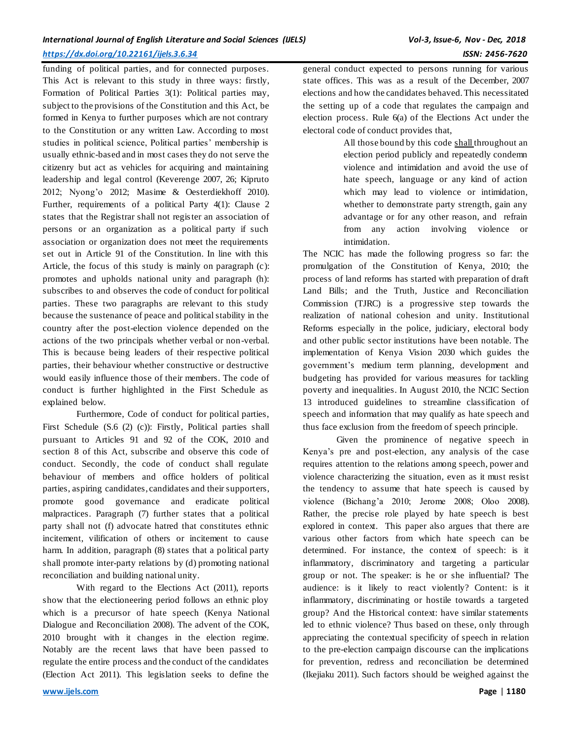funding of political parties, and for connected purposes. This Act is relevant to this study in three ways: firstly, Formation of Political Parties 3(1): Political parties may, subject to the provisions of the Constitution and this Act, be formed in Kenya to further purposes which are not contrary to the Constitution or any written Law. According to most studies in political science, Political parties' membership is usually ethnic-based and in most cases they do not serve the citizenry but act as vehicles for acquiring and maintaining leadership and legal control (Keverenge 2007, 26; Kipruto 2012; Nyong'o 2012; Masime & Oesterdiekhoff 2010). Further, requirements of a political Party 4(1): Clause 2 states that the Registrar shall not register an association of persons or an organization as a political party if such association or organization does not meet the requirements set out in Article 91 of the Constitution. In line with this Article, the focus of this study is mainly on paragraph (c): promotes and upholds national unity and paragraph (h): subscribes to and observes the code of conduct for political parties. These two paragraphs are relevant to this study because the sustenance of peace and political stability in the country after the post-election violence depended on the actions of the two principals whether verbal or non-verbal. This is because being leaders of their respective political parties, their behaviour whether constructive or destructive would easily influence those of their members. The code of conduct is further highlighted in the First Schedule as explained below.

Furthermore, Code of conduct for political parties, First Schedule (S.6 (2) (c)): Firstly, Political parties shall pursuant to Articles 91 and 92 of the COK, 2010 and section 8 of this Act, subscribe and observe this code of conduct. Secondly, the code of conduct shall regulate behaviour of members and office holders of political parties, aspiring candidates, candidates and their supporters, promote good governance and eradicate political malpractices. Paragraph (7) further states that a political party shall not (f) advocate hatred that constitutes ethnic incitement, vilification of others or incitement to cause harm. In addition, paragraph (8) states that a political party shall promote inter-party relations by (d) promoting national reconciliation and building national unity.

With regard to the Elections Act (2011), reports show that the electioneering period follows an ethnic ploy which is a precursor of hate speech (Kenya National Dialogue and Reconciliation 2008). The advent of the COK, 2010 brought with it changes in the election regime. Notably are the recent laws that have been passed to regulate the entire process and the conduct of the candidates (Election Act 2011). This legislation seeks to define the

general conduct expected to persons running for various state offices. This was as a result of the December, 2007 elections and how the candidates behaved. This necessitated the setting up of a code that regulates the campaign and election process. Rule 6(a) of the Elections Act under the electoral code of conduct provides that,

> All those bound by this code shall throughout an election period publicly and repeatedly condemn violence and intimidation and avoid the use of hate speech, language or any kind of action which may lead to violence or intimidation, whether to demonstrate party strength, gain any advantage or for any other reason, and refrain from any action involving violence or intimidation.

The NCIC has made the following progress so far: the promulgation of the Constitution of Kenya, 2010; the process of land reforms has started with preparation of draft Land Bills; and the Truth, Justice and Reconciliation Commission (TJRC) is a progressive step towards the realization of national cohesion and unity. Institutional Reforms especially in the police, judiciary, electoral body and other public sector institutions have been notable. The implementation of Kenya Vision 2030 which guides the government's medium term planning, development and budgeting has provided for various measures for tackling poverty and inequalities. In August 2010, the NCIC Section 13 introduced guidelines to streamline classification of speech and information that may qualify as hate speech and thus face exclusion from the freedom of speech principle.

Given the prominence of negative speech in Kenya's pre and post-election, any analysis of the case requires attention to the relations among speech, power and violence characterizing the situation, even as it must resist the tendency to assume that hate speech is caused by violence (Bichang'a 2010; Jerome 2008; Oloo 2008). Rather, the precise role played by hate speech is best explored in context. This paper also argues that there are various other factors from which hate speech can be determined. For instance, the context of speech: is it inflammatory, discriminatory and targeting a particular group or not. The speaker: is he or she influential? The audience: is it likely to react violently? Content: is it inflammatory, discriminating or hostile towards a targeted group? And the Historical context: have similar statements led to ethnic violence? Thus based on these, only through appreciating the contextual specificity of speech in relation to the pre-election campaign discourse can the implications for prevention, redress and reconciliation be determined (Ikejiaku 2011). Such factors should be weighed against the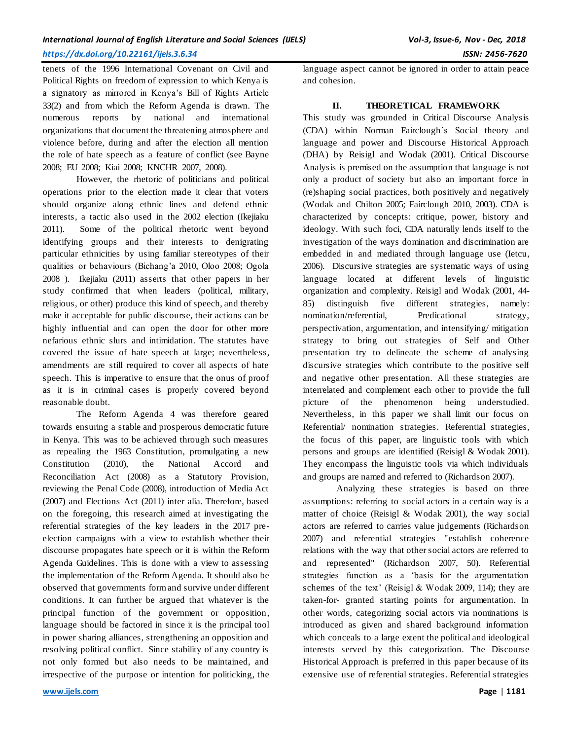tenets of the 1996 International Covenant on Civil and Political Rights on freedom of expression to which Kenya is a signatory as mirrored in Kenya's Bill of Rights Article 33(2) and from which the Reform Agenda is drawn. The numerous reports by national and international organizations that document the threatening atmosphere and violence before, during and after the election all mention the role of hate speech as a feature of conflict (see Bayne 2008; EU 2008; Kiai 2008; KNCHR 2007, 2008).

However, the rhetoric of politicians and political operations prior to the election made it clear that voters should organize along ethnic lines and defend ethnic interests, a tactic also used in the 2002 election (Ikejiaku 2011). Some of the political rhetoric went beyond identifying groups and their interests to denigrating particular ethnicities by using familiar stereotypes of their qualities or behaviours (Bichang'a 2010, Oloo 2008; Ogola 2008 ). Ikejiaku (2011) asserts that other papers in her study confirmed that when leaders (political, military, religious, or other) produce this kind of speech, and thereby make it acceptable for public discourse, their actions can be highly influential and can open the door for other more nefarious ethnic slurs and intimidation. The statutes have covered the issue of hate speech at large; nevertheless, amendments are still required to cover all aspects of hate speech. This is imperative to ensure that the onus of proof as it is in criminal cases is properly covered beyond reasonable doubt.

The Reform Agenda 4 was therefore geared towards ensuring a stable and prosperous democratic future in Kenya. This was to be achieved through such measures as repealing the 1963 Constitution, promulgating a new Constitution (2010), the National Accord and Reconciliation Act (2008) as a Statutory Provision, reviewing the Penal Code (2008), introduction of Media Act (2007) and Elections Act (2011) inter alia. Therefore, based on the foregoing, this research aimed at investigating the referential strategies of the key leaders in the 2017 preelection campaigns with a view to establish whether their discourse propagates hate speech or it is within the Reform Agenda Guidelines. This is done with a view to assessing the implementation of the Reform Agenda. It should also be observed that governments form and survive under different conditions. It can further be argued that whatever is the principal function of the government or opposition, language should be factored in since it is the principal tool in power sharing alliances, strengthening an opposition and resolving political conflict. Since stability of any country is not only formed but also needs to be maintained, and irrespective of the purpose or intention for politicking, the

language aspect cannot be ignored in order to attain peace and cohesion.

# **II. THEORETICAL FRAMEWORK**

This study was grounded in Critical Discourse Analysis (CDA) within Norman Fairclough's Social theory and language and power and Discourse Historical Approach (DHA) by Reisigl and Wodak (2001). Critical Discourse Analysis is premised on the assumption that language is not only a product of society but also an important force in (re)shaping social practices, both positively and negatively (Wodak and Chilton 2005; Fairclough 2010, 2003). CDA is characterized by concepts: critique, power, history and ideology. With such foci, CDA naturally lends itself to the investigation of the ways domination and discrimination are embedded in and mediated through language use (Ietcu, 2006). Discursive strategies are systematic ways of using language located at different levels of linguistic organization and complexity. Reisigl and Wodak (2001, 44- 85) distinguish five different strategies, namely: nomination/referential, Predicational strategy, perspectivation, argumentation, and intensifying/ mitigation strategy to bring out strategies of Self and Other presentation try to delineate the scheme of analysing discursive strategies which contribute to the positive self and negative other presentation. All these strategies are interrelated and complement each other to provide the full picture of the phenomenon being understudied. Nevertheless, in this paper we shall limit our focus on Referential/ nomination strategies. Referential strategies, the focus of this paper, are linguistic tools with which persons and groups are identified (Reisigl & Wodak 2001). They encompass the linguistic tools via which individuals and groups are named and referred to (Richardson 2007).

Analyzing these strategies is based on three assumptions: referring to social actors in a certain way is a matter of choice (Reisigl & Wodak 2001), the way social actors are referred to carries value judgements (Richardson 2007) and referential strategies "establish coherence relations with the way that other social actors are referred to and represented" (Richardson 2007, 50). Referential strategies function as a 'basis for the argumentation schemes of the text' (Reisigl & Wodak 2009, 114); they are taken-for- granted starting points for argumentation. In other words, categorizing social actors via nominations is introduced as given and shared background information which conceals to a large extent the political and ideological interests served by this categorization. The Discourse Historical Approach is preferred in this paper because of its extensive use of referential strategies. Referential strategies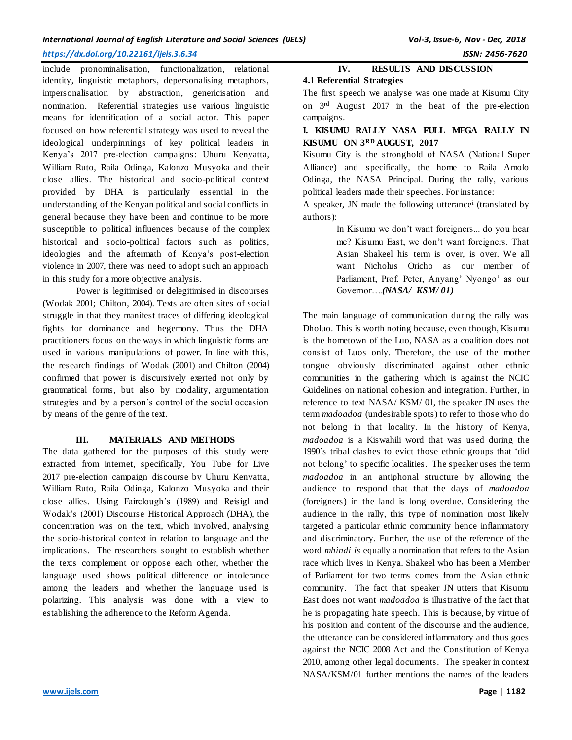# *International Journal of English Literature and Social Sciences (IJELS) Vol-3, Issue-6, Nov - Dec, 2018*

# *<https://dx.doi.org/10.22161/ijels.3.6.34>ISSN: 2456-7620*

include pronominalisation, functionalization, relational identity, linguistic metaphors, depersonalising metaphors, impersonalisation by abstraction, genericisation and nomination. Referential strategies use various linguistic means for identification of a social actor. This paper focused on how referential strategy was used to reveal the ideological underpinnings of key political leaders in Kenya's 2017 pre-election campaigns: Uhuru Kenyatta, William Ruto, Raila Odinga, Kalonzo Musyoka and their close allies. The historical and socio-political context provided by DHA is particularly essential in the understanding of the Kenyan political and social conflicts in general because they have been and continue to be more susceptible to political influences because of the complex historical and socio-political factors such as politics, ideologies and the aftermath of Kenya's post-election violence in 2007, there was need to adopt such an approach in this study for a more objective analysis.

Power is legitimised or delegitimised in discourses (Wodak 2001; Chilton, 2004). Texts are often sites of social struggle in that they manifest traces of differing ideological fights for dominance and hegemony. Thus the DHA practitioners focus on the ways in which linguistic forms are used in various manipulations of power. In line with this, the research findings of Wodak (2001) and Chilton (2004) confirmed that power is discursively exerted not only by grammatical forms, but also by modality, argumentation strategies and by a person's control of the social occasion by means of the genre of the text.

# **III. MATERIALS AND METHODS**

The data gathered for the purposes of this study were extracted from internet, specifically, You Tube for Live 2017 pre-election campaign discourse by Uhuru Kenyatta, William Ruto, Raila Odinga, Kalonzo Musyoka and their close allies. Using Fairclough's (1989) and Reisigl and Wodak's (2001) Discourse Historical Approach (DHA), the concentration was on the text, which involved, analysing the socio-historical context in relation to language and the implications. The researchers sought to establish whether the texts complement or oppose each other, whether the language used shows political difference or intolerance among the leaders and whether the language used is polarizing. This analysis was done with a view to establishing the adherence to the Reform Agenda.

# **IV. RESULTS AND DISCUSSION**

# **4.1 Referential Strategies**

The first speech we analyse was one made at Kisumu City on 3rd August 2017 in the heat of the pre-election campaigns.

# **I. KISUMU RALLY NASA FULL MEGA RALLY IN KISUMU ON 3RD AUGUST, 2017**

Kisumu City is the stronghold of NASA (National Super Alliance) and specifically, the home to Raila Amolo Odinga, the NASA Principal. During the rally, various political leaders made their speeches. For instance:

A speaker, JN made the following utterance<sup>i</sup> (translated by authors):

> In Kisumu we don't want foreigners... do you hear me? Kisumu East, we don't want foreigners. That Asian Shakeel his term is over, is over. We all want Nicholus Oricho as our member of Parliament, Prof. Peter, Anyang' Nyongo' as our Governor….*(NASA/ KSM/ 01)*

The main language of communication during the rally was Dholuo. This is worth noting because, even though, Kisumu is the hometown of the Luo, NASA as a coalition does not consist of Luos only. Therefore, the use of the mother tongue obviously discriminated against other ethnic communities in the gathering which is against the NCIC Guidelines on national cohesion and integration. Further, in reference to text NASA/ KSM/ 01, the speaker JN uses the term *madoadoa* (undesirable spots) to refer to those who do not belong in that locality. In the history of Kenya, *madoadoa* is a Kiswahili word that was used during the 1990's tribal clashes to evict those ethnic groups that 'did not belong' to specific localities. The speaker uses the term *madoadoa* in an antiphonal structure by allowing the audience to respond that that the days of *madoadoa* (foreigners) in the land is long overdue. Considering the audience in the rally, this type of nomination most likely targeted a particular ethnic community hence inflammatory and discriminatory. Further, the use of the reference of the word *mhindi is* equally a nomination that refers to the Asian race which lives in Kenya. Shakeel who has been a Member of Parliament for two terms comes from the Asian ethnic community. The fact that speaker JN utters that Kisumu East does not want *madoadoa* is illustrative of the fact that he is propagating hate speech. This is because, by virtue of his position and content of the discourse and the audience, the utterance can be considered inflammatory and thus goes against the NCIC 2008 Act and the Constitution of Kenya 2010, among other legal documents. The speaker in context NASA/KSM/01 further mentions the names of the leaders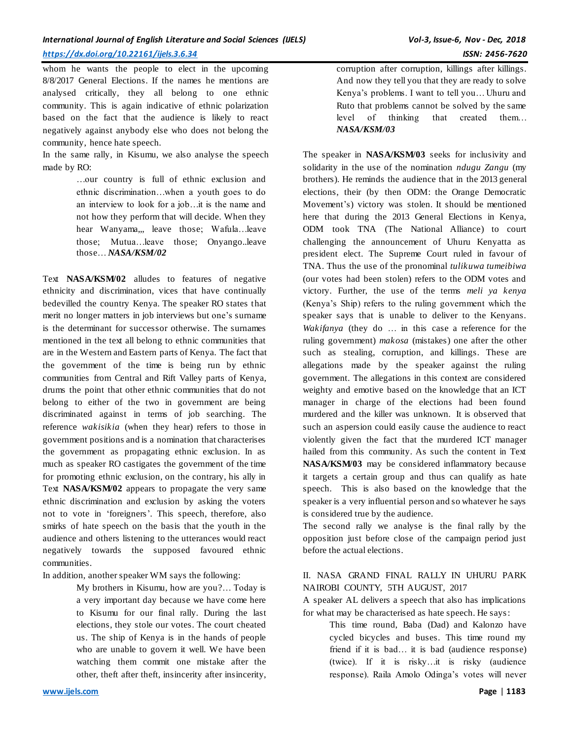whom he wants the people to elect in the upcoming 8/8/2017 General Elections. If the names he mentions are analysed critically, they all belong to one ethnic community. This is again indicative of ethnic polarization based on the fact that the audience is likely to react negatively against anybody else who does not belong the community, hence hate speech.

In the same rally, in Kisumu, we also analyse the speech made by RO:

> …our country is full of ethnic exclusion and ethnic discrimination…when a youth goes to do an interview to look for a job…it is the name and not how they perform that will decide. When they hear Wanyama,, leave those; Wafula...leave those; Mutua…leave those; Onyango..leave those… *NASA/KSM/02*

Text **NASA/KSM/02** alludes to features of negative ethnicity and discrimination, vices that have continually bedevilled the country Kenya. The speaker RO states that merit no longer matters in job interviews but one's surname is the determinant for successor otherwise. The surnames mentioned in the text all belong to ethnic communities that are in the Western and Eastern parts of Kenya. The fact that the government of the time is being run by ethnic communities from Central and Rift Valley parts of Kenya, drums the point that other ethnic communities that do not belong to either of the two in government are being discriminated against in terms of job searching. The reference *wakisikia* (when they hear) refers to those in government positions and is a nomination that characterises the government as propagating ethnic exclusion. In as much as speaker RO castigates the government of the time for promoting ethnic exclusion, on the contrary, his ally in Text **NASA/KSM/02** appears to propagate the very same ethnic discrimination and exclusion by asking the voters not to vote in 'foreigners'. This speech, therefore, also smirks of hate speech on the basis that the youth in the audience and others listening to the utterances would react negatively towards the supposed favoured ethnic communities.

In addition, another speaker WM says the following:

My brothers in Kisumu, how are you?… Today is a very important day because we have come here to Kisumu for our final rally. During the last elections, they stole our votes. The court cheated us. The ship of Kenya is in the hands of people who are unable to govern it well. We have been watching them commit one mistake after the other, theft after theft, insincerity after insincerity, corruption after corruption, killings after killings. And now they tell you that they are ready to solve Kenya's problems. I want to tell you… Uhuru and Ruto that problems cannot be solved by the same level of thinking that created them… *NASA/KSM/03*

The speaker in **NASA/KSM/03** seeks for inclusivity and solidarity in the use of the nomination *ndugu Zangu* (my brothers). He reminds the audience that in the 2013 general elections, their (by then ODM: the Orange Democratic Movement's) victory was stolen. It should be mentioned here that during the 2013 General Elections in Kenya, ODM took TNA (The National Alliance) to court challenging the announcement of Uhuru Kenyatta as president elect. The Supreme Court ruled in favour of TNA. Thus the use of the pronominal *tulikuwa tumeibiwa* (our votes had been stolen) refers to the ODM votes and victory. Further, the use of the terms *meli ya kenya*  (Kenya's Ship) refers to the ruling government which the speaker says that is unable to deliver to the Kenyans. *Wakifanya* (they do … in this case a reference for the ruling government) *makosa* (mistakes) one after the other such as stealing, corruption, and killings. These are allegations made by the speaker against the ruling government. The allegations in this context are considered weighty and emotive based on the knowledge that an ICT manager in charge of the elections had been found murdered and the killer was unknown. It is observed that such an aspersion could easily cause the audience to react violently given the fact that the murdered ICT manager hailed from this community. As such the content in Text **NASA/KSM/03** may be considered inflammatory because it targets a certain group and thus can qualify as hate speech. This is also based on the knowledge that the speaker is a very influential person and so whatever he says is considered true by the audience.

The second rally we analyse is the final rally by the opposition just before close of the campaign period just before the actual elections.

# II. NASA GRAND FINAL RALLY IN UHURU PARK NAIROBI COUNTY, 5TH AUGUST, 2017

A speaker AL delivers a speech that also has implications for what may be characterised as hate speech. He says:

> This time round, Baba (Dad) and Kalonzo have cycled bicycles and buses. This time round my friend if it is bad… it is bad (audience response) (twice). If it is risky…it is risky (audience response). Raila Amolo Odinga's votes will never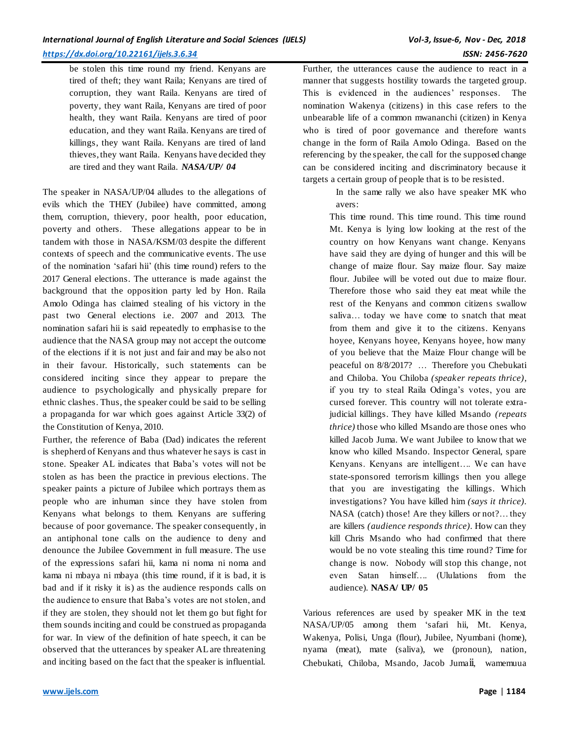be stolen this time round my friend. Kenyans are tired of theft; they want Raila; Kenyans are tired of corruption, they want Raila. Kenyans are tired of poverty, they want Raila, Kenyans are tired of poor health, they want Raila. Kenyans are tired of poor education, and they want Raila. Kenyans are tired of killings, they want Raila. Kenyans are tired of land thieves, they want Raila. Kenyans have decided they are tired and they want Raila. *NASA/UP/ 04*

The speaker in NASA/UP/04 alludes to the allegations of evils which the THEY (Jubilee) have committed, among them, corruption, thievery, poor health, poor education, poverty and others. These allegations appear to be in tandem with those in NASA/KSM/03 despite the different contexts of speech and the communicative events. The use of the nomination 'safari hii' (this time round) refers to the 2017 General elections. The utterance is made against the background that the opposition party led by Hon. Raila Amolo Odinga has claimed stealing of his victory in the past two General elections i.e. 2007 and 2013. The nomination safari hii is said repeatedly to emphasise to the audience that the NASA group may not accept the outcome of the elections if it is not just and fair and may be also not in their favour. Historically, such statements can be considered inciting since they appear to prepare the audience to psychologically and physically prepare for ethnic clashes. Thus, the speaker could be said to be selling a propaganda for war which goes against Article 33(2) of the Constitution of Kenya, 2010.

Further, the reference of Baba (Dad) indicates the referent is shepherd of Kenyans and thus whatever he says is cast in stone. Speaker AL indicates that Baba's votes will not be stolen as has been the practice in previous elections. The speaker paints a picture of Jubilee which portrays them as people who are inhuman since they have stolen from Kenyans what belongs to them. Kenyans are suffering because of poor governance. The speaker consequently, in an antiphonal tone calls on the audience to deny and denounce the Jubilee Government in full measure. The use of the expressions safari hii, kama ni noma ni noma and kama ni mbaya ni mbaya (this time round, if it is bad, it is bad and if it risky it is) as the audience responds calls on the audience to ensure that Baba's votes are not stolen, and if they are stolen, they should not let them go but fight for them sounds inciting and could be construed as propaganda for war. In view of the definition of hate speech, it can be observed that the utterances by speaker AL are threatening and inciting based on the fact that the speaker is influential.

Further, the utterances cause the audience to react in a manner that suggests hostility towards the targeted group. This is evidenced in the audiences' responses. The nomination Wakenya (citizens) in this case refers to the unbearable life of a common mwananchi (citizen) in Kenya who is tired of poor governance and therefore wants change in the form of Raila Amolo Odinga. Based on the referencing by the speaker, the call for the supposed change can be considered inciting and discriminatory because it targets a certain group of people that is to be resisted.

> In the same rally we also have speaker MK who avers:

This time round. This time round. This time round Mt. Kenya is lying low looking at the rest of the country on how Kenyans want change. Kenyans have said they are dying of hunger and this will be change of maize flour. Say maize flour. Say maize flour. Jubilee will be voted out due to maize flour. Therefore those who said they eat meat while the rest of the Kenyans and common citizens swallow saliva… today we have come to snatch that meat from them and give it to the citizens. Kenyans hoyee, Kenyans hoyee, Kenyans hoyee, how many of you believe that the Maize Flour change will be peaceful on 8/8/2017? … Therefore you Chebukati and Chiloba. You Chiloba *(speaker repeats thrice),* if you try to steal Raila Odinga's votes, you are cursed forever. This country will not tolerate extrajudicial killings. They have killed Msando *(repeats thrice)* those who killed Msando are those ones who killed Jacob Juma. We want Jubilee to know that we know who killed Msando. Inspector General, spare Kenyans. Kenyans are intelligent…. We can have state-sponsored terrorism killings then you allege that you are investigating the killings. Which investigations? You have killed him *(says it thrice).* NASA (catch) those! Are they killers or not?… they are killers *(audience responds thrice).* How can they kill Chris Msando who had confirmed that there would be no vote stealing this time round? Time for change is now. Nobody will stop this change, not even Satan himself…. (Ululations from the audience). **NASA/ UP/ 05**

Various references are used by speaker MK in the text NASA/UP/05 among them 'safari hii, Mt. Kenya, Wakenya, Polisi, Unga (flour), Jubilee, Nyumbani (home), nyama (meat), mate (saliva), we (pronoun), nation, Chebukati, Chiloba, Msando, Jacob Jumaii, wamemuua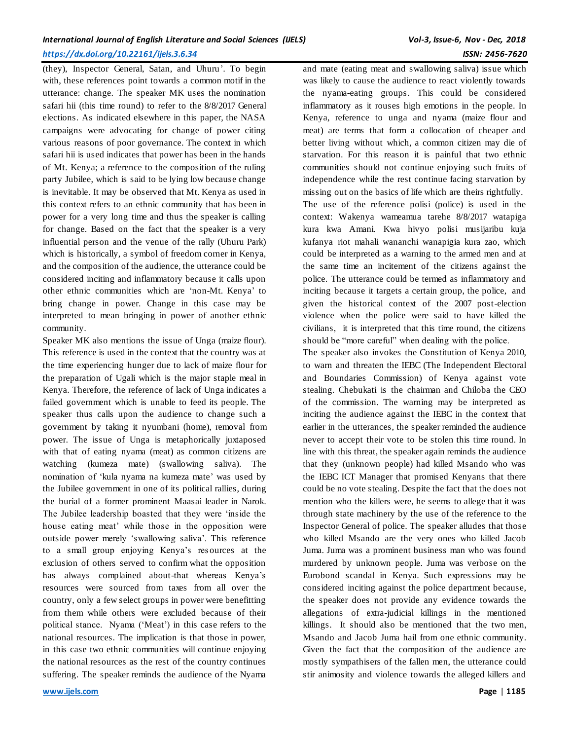(they), Inspector General, Satan, and Uhuru'. To begin with, these references point towards a common motif in the utterance: change. The speaker MK uses the nomination safari hii (this time round) to refer to the 8/8/2017 General elections. As indicated elsewhere in this paper, the NASA campaigns were advocating for change of power citing various reasons of poor governance. The context in which safari hii is used indicates that power has been in the hands of Mt. Kenya; a reference to the composition of the ruling party Jubilee, which is said to be lying low because change is inevitable. It may be observed that Mt. Kenya as used in this context refers to an ethnic community that has been in power for a very long time and thus the speaker is calling for change. Based on the fact that the speaker is a very influential person and the venue of the rally (Uhuru Park) which is historically, a symbol of freedom corner in Kenya, and the composition of the audience, the utterance could be considered inciting and inflammatory because it calls upon other ethnic communities which are 'non-Mt. Kenya' to bring change in power. Change in this case may be interpreted to mean bringing in power of another ethnic community.

Speaker MK also mentions the issue of Unga (maize flour). This reference is used in the context that the country was at the time experiencing hunger due to lack of maize flour for the preparation of Ugali which is the major staple meal in Kenya. Therefore, the reference of lack of Unga indicates a failed government which is unable to feed its people. The speaker thus calls upon the audience to change such a government by taking it nyumbani (home), removal from power. The issue of Unga is metaphorically juxtaposed with that of eating nyama (meat) as common citizens are watching (kumeza mate) (swallowing saliva). The nomination of 'kula nyama na kumeza mate' was used by the Jubilee government in one of its political rallies, during the burial of a former prominent Maasai leader in Narok. The Jubilee leadership boasted that they were 'inside the house eating meat' while those in the opposition were outside power merely 'swallowing saliva'. This reference to a small group enjoying Kenya's resources at the exclusion of others served to confirm what the opposition has always complained about-that whereas Kenya's resources were sourced from taxes from all over the country, only a few select groups in power were benefitting from them while others were excluded because of their political stance. Nyama ('Meat') in this case refers to the national resources. The implication is that those in power, in this case two ethnic communities will continue enjoying the national resources as the rest of the country continues suffering. The speaker reminds the audience of the Nyama

and mate (eating meat and swallowing saliva) issue which was likely to cause the audience to react violently towards the nyama-eating groups. This could be considered inflammatory as it rouses high emotions in the people. In Kenya, reference to unga and nyama (maize flour and meat) are terms that form a collocation of cheaper and better living without which, a common citizen may die of starvation. For this reason it is painful that two ethnic communities should not continue enjoying such fruits of independence while the rest continue facing starvation by missing out on the basics of life which are theirs rightfully. The use of the reference polisi (police) is used in the context: Wakenya wameamua tarehe 8/8/2017 watapiga

kura kwa Amani. Kwa hivyo polisi musijaribu kuja kufanya riot mahali wananchi wanapigia kura zao, which could be interpreted as a warning to the armed men and at the same time an incitement of the citizens against the police. The utterance could be termed as inflammatory and inciting because it targets a certain group, the police, and given the historical context of the 2007 post-election violence when the police were said to have killed the civilians, it is interpreted that this time round, the citizens should be "more careful" when dealing with the police.

The speaker also invokes the Constitution of Kenya 2010, to warn and threaten the IEBC (The Independent Electoral and Boundaries Commission) of Kenya against vote stealing. Chebukati is the chairman and Chiloba the CEO of the commission. The warning may be interpreted as inciting the audience against the IEBC in the context that earlier in the utterances, the speaker reminded the audience never to accept their vote to be stolen this time round. In line with this threat, the speaker again reminds the audience that they (unknown people) had killed Msando who was the IEBC ICT Manager that promised Kenyans that there could be no vote stealing. Despite the fact that the does not mention who the killers were, he seems to allege that it was through state machinery by the use of the reference to the Inspector General of police. The speaker alludes that those who killed Msando are the very ones who killed Jacob Juma. Juma was a prominent business man who was found murdered by unknown people. Juma was verbose on the Eurobond scandal in Kenya. Such expressions may be considered inciting against the police department because, the speaker does not provide any evidence towards the allegations of extra-judicial killings in the mentioned killings. It should also be mentioned that the two men, Msando and Jacob Juma hail from one ethnic community. Given the fact that the composition of the audience are mostly sympathisers of the fallen men, the utterance could stir animosity and violence towards the alleged killers and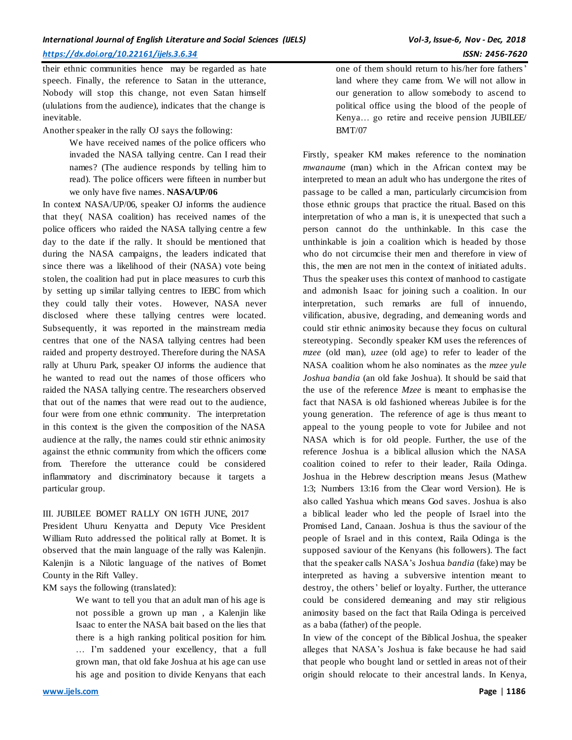their ethnic communities hence may be regarded as hate speech. Finally, the reference to Satan in the utterance, Nobody will stop this change, not even Satan himself (ululations from the audience), indicates that the change is inevitable.

Another speaker in the rally OJ says the following:

We have received names of the police officers who invaded the NASA tallying centre. Can I read their names? (The audience responds by telling him to read). The police officers were fifteen in number but we only have five names. **NASA/UP/06**

In context NASA/UP/06, speaker OJ informs the audience that they( NASA coalition) has received names of the police officers who raided the NASA tallying centre a few day to the date if the rally. It should be mentioned that during the NASA campaigns, the leaders indicated that since there was a likelihood of their (NASA) vote being stolen, the coalition had put in place measures to curb this by setting up similar tallying centres to IEBC from which they could tally their votes. However, NASA never disclosed where these tallying centres were located. Subsequently, it was reported in the mainstream media centres that one of the NASA tallying centres had been raided and property destroyed. Therefore during the NASA rally at Uhuru Park, speaker OJ informs the audience that he wanted to read out the names of those officers who raided the NASA tallying centre. The researchers observed that out of the names that were read out to the audience, four were from one ethnic community. The interpretation in this context is the given the composition of the NASA audience at the rally, the names could stir ethnic animosity against the ethnic community from which the officers come from. Therefore the utterance could be considered inflammatory and discriminatory because it targets a particular group.

# III. JUBILEE BOMET RALLY ON 16TH JUNE, 2017

President Uhuru Kenyatta and Deputy Vice President William Ruto addressed the political rally at Bomet. It is observed that the main language of the rally was Kalenjin. Kalenjin is a Nilotic language of the natives of Bomet County in the Rift Valley.

KM says the following (translated):

We want to tell you that an adult man of his age is not possible a grown up man , a Kalenjin like Isaac to enter the NASA bait based on the lies that there is a high ranking political position for him. … I'm saddened your excellency, that a full grown man, that old fake Joshua at his age can use his age and position to divide Kenyans that each

one of them should return to his/her fore fathers' land where they came from. We will not allow in our generation to allow somebody to ascend to political office using the blood of the people of Kenya… go retire and receive pension JUBILEE/ BMT/07

Firstly, speaker KM makes reference to the nomination *mwanaume* (man) which in the African context may be interpreted to mean an adult who has undergone the rites of passage to be called a man, particularly circumcision from those ethnic groups that practice the ritual. Based on this interpretation of who a man is, it is unexpected that such a person cannot do the unthinkable. In this case the unthinkable is join a coalition which is headed by those who do not circumcise their men and therefore in view of this, the men are not men in the context of initiated adults. Thus the speaker uses this context of manhood to castigate and admonish Isaac for joining such a coalition. In our interpretation, such remarks are full of innuendo, vilification, abusive, degrading, and demeaning words and could stir ethnic animosity because they focus on cultural stereotyping. Secondly speaker KM uses the references of *mzee* (old man), *uzee* (old age) to refer to leader of the NASA coalition whom he also nominates as the *mzee yule Joshua bandia* (an old fake Joshua). It should be said that the use of the reference *Mzee* is meant to emphasise the fact that NASA is old fashioned whereas Jubilee is for the young generation. The reference of age is thus meant to appeal to the young people to vote for Jubilee and not NASA which is for old people. Further, the use of the reference Joshua is a biblical allusion which the NASA coalition coined to refer to their leader, Raila Odinga. Joshua in the Hebrew description means Jesus (Mathew 1:3; Numbers 13:16 from the Clear word Version). He is also called Yashua which means God saves. Joshua is also a biblical leader who led the people of Israel into the Promised Land, Canaan. Joshua is thus the saviour of the people of Israel and in this context, Raila Odinga is the supposed saviour of the Kenyans (his followers). The fact that the speaker calls NASA's Joshua *bandia* (fake) may be interpreted as having a subversive intention meant to destroy, the others' belief or loyalty. Further, the utterance could be considered demeaning and may stir religious animosity based on the fact that Raila Odinga is perceived as a baba (father) of the people.

In view of the concept of the Biblical Joshua, the speaker alleges that NASA's Joshua is fake because he had said that people who bought land or settled in areas not of their origin should relocate to their ancestral lands. In Kenya,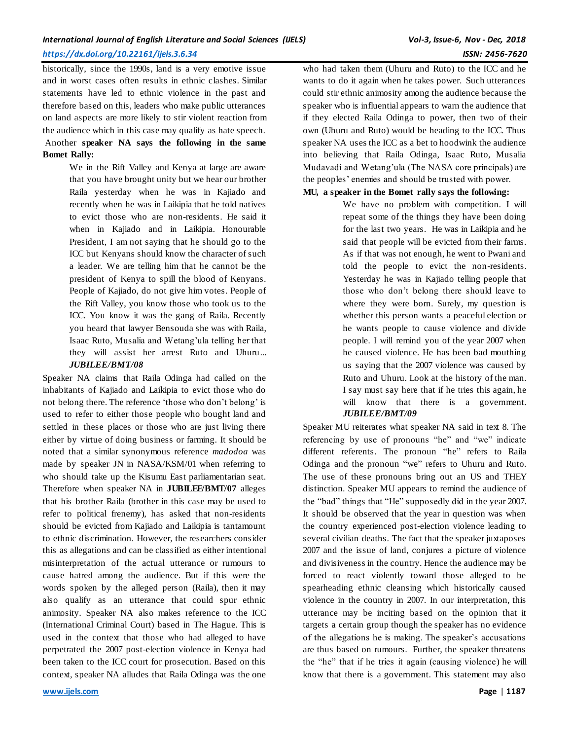historically, since the 1990s, land is a very emotive issue and in worst cases often results in ethnic clashes. Similar statements have led to ethnic violence in the past and therefore based on this, leaders who make public utterances on land aspects are more likely to stir violent reaction from the audience which in this case may qualify as hate speech.

# Another **speaker NA says the following in the same Bomet Rally:**

We in the Rift Valley and Kenya at large are aware that you have brought unity but we hear our brother Raila yesterday when he was in Kajiado and recently when he was in Laikipia that he told natives to evict those who are non-residents. He said it when in Kajiado and in Laikipia. Honourable President, I am not saying that he should go to the ICC but Kenyans should know the character of such a leader. We are telling him that he cannot be the president of Kenya to spill the blood of Kenyans. People of Kajiado, do not give him votes. People of the Rift Valley, you know those who took us to the ICC. You know it was the gang of Raila. Recently you heard that lawyer Bensouda she was with Raila, Isaac Ruto, Musalia and Wetang'ula telling her that they will assist her arrest Ruto and Uhuru... *JUBILEE/BMT/08*

Speaker NA claims that Raila Odinga had called on the inhabitants of Kajiado and Laikipia to evict those who do not belong there. The reference 'those who don't belong' is used to refer to either those people who bought land and settled in these places or those who are just living there either by virtue of doing business or farming. It should be noted that a similar synonymous reference *madodoa* was made by speaker JN in NASA/KSM/01 when referring to who should take up the Kisumu East parliamentarian seat. Therefore when speaker NA in **JUBILEE/BMT/07** alleges that his brother Raila (brother in this case may be used to refer to political frenemy), has asked that non-residents should be evicted from Kajiado and Laikipia is tantamount to ethnic discrimination. However, the researchers consider this as allegations and can be classified as either intentional misinterpretation of the actual utterance or rumours to cause hatred among the audience. But if this were the words spoken by the alleged person (Raila), then it may also qualify as an utterance that could spur ethnic animosity. Speaker NA also makes reference to the ICC (International Criminal Court) based in The Hague. This is used in the context that those who had alleged to have perpetrated the 2007 post-election violence in Kenya had been taken to the ICC court for prosecution. Based on this context, speaker NA alludes that Raila Odinga was the one

who had taken them (Uhuru and Ruto) to the ICC and he wants to do it again when he takes power. Such utterances could stir ethnic animosity among the audience because the speaker who is influential appears to warn the audience that if they elected Raila Odinga to power, then two of their own (Uhuru and Ruto) would be heading to the ICC. Thus speaker NA uses the ICC as a bet to hoodwink the audience into believing that Raila Odinga, Isaac Ruto, Musalia Mudavadi and Wetang'ula (The NASA core principals) are the peoples' enemies and should be trusted with power.

#### **MU, a speaker in the Bomet rally says the following:**

We have no problem with competition. I will repeat some of the things they have been doing for the last two years. He was in Laikipia and he said that people will be evicted from their farms. As if that was not enough, he went to Pwani and told the people to evict the non-residents. Yesterday he was in Kajiado telling people that those who don't belong there should leave to where they were born. Surely, my question is whether this person wants a peaceful election or he wants people to cause violence and divide people. I will remind you of the year 2007 when he caused violence. He has been bad mouthing us saying that the 2007 violence was caused by Ruto and Uhuru. Look at the history of the man. I say must say here that if he tries this again, he will know that there is a government. *JUBILEE/BMT/09*

Speaker MU reiterates what speaker NA said in text 8. The referencing by use of pronouns "he" and "we" indicate different referents. The pronoun "he" refers to Raila Odinga and the pronoun "we" refers to Uhuru and Ruto. The use of these pronouns bring out an US and THEY distinction. Speaker MU appears to remind the audience of the "bad" things that "He" supposedly did in the year 2007. It should be observed that the year in question was when the country experienced post-election violence leading to several civilian deaths. The fact that the speaker juxtaposes 2007 and the issue of land, conjures a picture of violence and divisiveness in the country. Hence the audience may be forced to react violently toward those alleged to be spearheading ethnic cleansing which historically caused violence in the country in 2007. In our interpretation, this utterance may be inciting based on the opinion that it targets a certain group though the speaker has no evidence of the allegations he is making. The speaker's accusations are thus based on rumours. Further, the speaker threatens the "he" that if he tries it again (causing violence) he will know that there is a government. This statement may also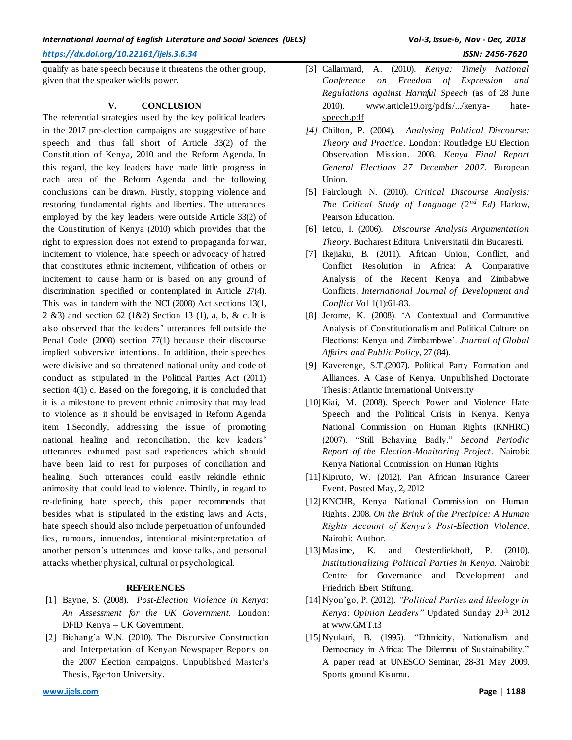qualify as hate speech because it threatens the other group, given that the speaker wields power.

# **V. CONCLUSION**

The referential strategies used by the key political leaders in the 2017 pre-election campaigns are suggestive of hate speech and thus fall short of Article 33(2) of the Constitution of Kenya, 2010 and the Reform Agenda. In this regard, the key leaders have made little progress in each area of the Reform Agenda and the following conclusions can be drawn. Firstly, stopping violence and restoring fundamental rights and liberties. The utterances employed by the key leaders were outside Article 33(2) of the Constitution of Kenya (2010) which provides that the right to expression does not extend to propaganda for war, incitement to violence, hate speech or advocacy of hatred that constitutes ethnic incitement, vilification of others or incitement to cause harm or is based on any ground of discrimination specified or contemplated in Article 27(4). This was in tandem with the NCI (2008) Act sections 13(1, 2 &3) and section 62 (1&2) Section 13 (1), a, b, & c. It is also observed that the leaders' utterances fell outside the Penal Code (2008) section 77(1) because their discourse implied subversive intentions. In addition, their speeches were divisive and so threatened national unity and code of conduct as stipulated in the Political Parties Act (2011) section 4(1) c. Based on the foregoing, it is concluded that it is a milestone to prevent ethnic animosity that may lead to violence as it should be envisaged in Reform Agenda item 1.Secondly, addressing the issue of promoting national healing and reconciliation, the key leaders' utterances exhumed past sad experiences which should have been laid to rest for purposes of conciliation and healing. Such utterances could easily rekindle ethnic animosity that could lead to violence. Thirdly, in regard to re-defining hate speech, this paper recommends that besides what is stipulated in the existing laws and Acts, hate speech should also include perpetuation of unfounded lies, rumours, innuendos, intentional misinterpretation of another person's utterances and loose talks, and personal attacks whether physical, cultural or psychological.

# **REFERENCES**

- [1] Bayne, S. (2008). *Post-Election Violence in Kenya: An Assessment for the UK Government.* London: DFID Kenya – UK Government.
- [2] Bichang'a W.N. (2010). The Discursive Construction and Interpretation of Kenyan Newspaper Reports on the 2007 Election campaigns. Unpublished Master's Thesis, Egerton University.
- *[4]* Chilton, P. (2004). *Analysing Political Discourse: Theory and Practice*. London: Routledge EU Election Observation Mission. 2008. *Kenya Final Report General Elections 27 December 2007*. European Union.
- [5] Fairclough N. (2010). *Critical Discourse Analysis: The Critical Study of Language (2nd Ed)* Harlow, Pearson Education.
- [6] Ietcu, I. (2006). *Discourse Analysis Argumentation Theory.* Bucharest Editura Universitatii din Bucaresti.
- [7] Ikejiaku, B. (2011). African Union, Conflict, and Conflict Resolution in Africa: A Comparative Analysis of the Recent Kenya and Zimbabwe Conflicts. *International Journal of Development and Conflict* Vol 1(1):61-83.
- [8] Jerome, K. (2008). 'A Contextual and Comparative Analysis of Constitutionalism and Political Culture on Elections: Kenya and Zimbambwe'. *Journal of Global Affairs and Public Policy*, 27 (84).
- [9] Kaverenge, S.T.(2007). Political Party Formation and Alliances. A Case of Kenya. Unpublished Doctorate Thesis: Atlantic International University
- [10] Kiai, M. (2008). Speech Power and Violence Hate Speech and the Political Crisis in Kenya. Kenya National Commission on Human Rights (KNHRC) (2007). "Still Behaving Badly." *Second Periodic Report of the Election-Monitoring Project*. Nairobi: Kenya National Commission on Human Rights.
- [11] Kipruto, W. (2012). Pan African Insurance Career Event. Posted May, 2, 2012
- [12] KNCHR, Kenya National Commission on Human Rights. 2008. *On the Brink of the Precipice: A Human Rights Account of Kenya's Post-Election Violence.* Nairobi: Author.
- [13] Masime, K. and Oesterdiekhoff, P. (2010). *Institutionalizing Political Parties in Kenya.* Nairobi: Centre for Governance and Development and Friedrich Ebert Stiftung.
- [14] Nyon'go, P. (2012). *"Political Parties and Ideology in Kenya: Opinion Leaders"* Updated Sunday 29th 2012 at www.GMT.t3
- [15] Nyukuri, B. (1995). "Ethnicity, Nationalism and Democracy in Africa: The Dilemma of Sustainability." A paper read at UNESCO Seminar, 28-31 May 2009. Sports ground Kisumu.